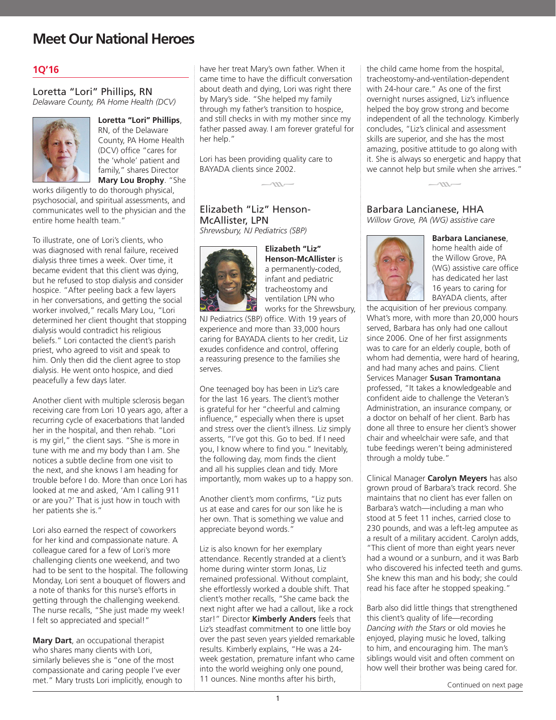## **Meet Our National Heroes**

### **1Q'16**

### Loretta "Lori" Phillips, RN *Delaware County, PA Home Health (DCV)*



**Loretta "Lori" Phillips**, RN, of the Delaware County, PA Home Health (DCV) office "cares for

the 'whole' patient and family," shares Director **Mary Lou Brophy**. "She

works diligently to do thorough physical, psychosocial, and spiritual assessments, and communicates well to the physician and the entire home health team."

To illustrate, one of Lori's clients, who was diagnosed with renal failure, received dialysis three times a week. Over time, it became evident that this client was dying, but he refused to stop dialysis and consider hospice. "After peeling back a few layers in her conversations, and getting the social worker involved," recalls Mary Lou, "Lori determined her client thought that stopping dialysis would contradict his religious beliefs." Lori contacted the client's parish priest, who agreed to visit and speak to him. Only then did the client agree to stop dialysis. He went onto hospice, and died peacefully a few days later.

Another client with multiple sclerosis began receiving care from Lori 10 years ago, after a recurring cycle of exacerbations that landed her in the hospital, and then rehab. "Lori is my girl," the client says. "She is more in tune with me and my body than I am. She notices a subtle decline from one visit to the next, and she knows I am heading for trouble before I do. More than once Lori has looked at me and asked, 'Am I calling 911 or are you?' That is just how in touch with her patients she is."

Lori also earned the respect of coworkers for her kind and compassionate nature. A colleague cared for a few of Lori's more challenging clients one weekend, and two had to be sent to the hospital. The following Monday, Lori sent a bouquet of flowers and a note of thanks for this nurse's efforts in getting through the challenging weekend. The nurse recalls, "She just made my week! I felt so appreciated and special!"

**Mary Dart**, an occupational therapist who shares many clients with Lori, similarly believes she is "one of the most compassionate and caring people I've ever met." Mary trusts Lori implicitly, enough to have her treat Mary's own father. When it came time to have the difficult conversation about death and dying, Lori was right there by Mary's side. "She helped my family through my father's transition to hospice, and still checks in with my mother since my father passed away. I am forever grateful for her help."

Lori has been providing quality care to BAYADA clients since 2002.

 $k = kx + k$ 

### Elizabeth "Liz" Henson-McAllister, LPN

*Shrewsbury, NJ Pediatrics (SBP)* 



**Elizabeth "Liz" Henson-McAllister** is a permanently-coded, infant and pediatric tracheostomy and ventilation LPN who works for the Shrewsbury,

NJ Pediatrics (SBP) office. With 19 years of experience and more than 33,000 hours caring for BAYADA clients to her credit, Liz exudes confidence and control, offering a reassuring presence to the families she serves.

One teenaged boy has been in Liz's care for the last 16 years. The client's mother is grateful for her "cheerful and calming influence," especially when there is upset and stress over the client's illness. Liz simply asserts, "I've got this. Go to bed. If I need you, I know where to find you." Inevitably, the following day, mom finds the client and all his supplies clean and tidy. More importantly, mom wakes up to a happy son.

Another client's mom confirms, "Liz puts us at ease and cares for our son like he is her own. That is something we value and appreciate beyond words."

Liz is also known for her exemplary attendance. Recently stranded at a client's home during winter storm Jonas, Liz remained professional. Without complaint, she effortlessly worked a double shift. That client's mother recalls, "She came back the next night after we had a callout, like a rock star!" Director **Kimberly Anders** feels that Liz's steadfast commitment to one little boy over the past seven years yielded remarkable results. Kimberly explains, "He was a 24 week gestation, premature infant who came into the world weighing only one pound, 11 ounces. Nine months after his birth,

the child came home from the hospital, tracheostomy-and-ventilation-dependent with 24-hour care." As one of the first overnight nurses assigned, Liz's influence helped the boy grow strong and become independent of all the technology. Kimberly concludes, "Liz's clinical and assessment skills are superior, and she has the most amazing, positive attitude to go along with it. She is always so energetic and happy that we cannot help but smile when she arrives."



# Barbara Lancianese, HHA

*Willow Grove, PA (WG) assistive care*



**Barbara Lancianese**, home health aide of the Willow Grove, PA (WG) assistive care office has dedicated her last 16 years to caring for BAYADA clients, after

the acquisition of her previous company. What's more, with more than 20,000 hours served, Barbara has only had one callout since 2006. One of her first assignments was to care for an elderly couple, both of whom had dementia, were hard of hearing, and had many aches and pains. Client Services Manager **Susan Tramontana** professed, "It takes a knowledgeable and confident aide to challenge the Veteran's Administration, an insurance company, or a doctor on behalf of her client. Barb has done all three to ensure her client's shower chair and wheelchair were safe, and that tube feedings weren't being administered through a moldy tube."

Clinical Manager **Carolyn Meyers** has also grown proud of Barbara's track record. She maintains that no client has ever fallen on Barbara's watch—including a man who stood at 5 feet 11 inches, carried close to 230 pounds, and was a left-leg amputee as a result of a military accident. Carolyn adds, "This client of more than eight years never had a wound or a sunburn, and it was Barb who discovered his infected teeth and gums. She knew this man and his body; she could read his face after he stopped speaking."

Barb also did little things that strengthened this client's quality of life—recording *Dancing with the Stars* or old movies he enjoyed, playing music he loved, talking to him, and encouraging him. The man's siblings would visit and often comment on how well their brother was being cared for.